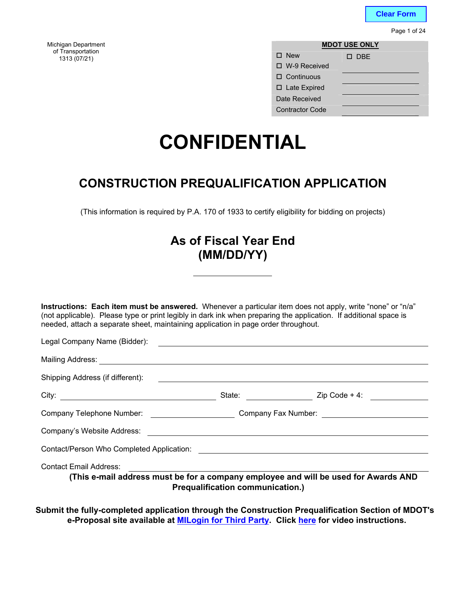**Clear Form**

Page 1 of 24

Michigan Department **MDOT USE ONLY** <sup>o</sup>f Transportation

| <i><b>I</b></i> ransportation<br>1313 (07/21) | $\square$ New          | $\square$ DBE |
|-----------------------------------------------|------------------------|---------------|
|                                               | $\Box$ W-9 Received    |               |
|                                               | $\Box$ Continuous      |               |
|                                               | $\Box$ Late Expired    |               |
|                                               | Date Received          |               |
|                                               | <b>Contractor Code</b> |               |

# **CONFIDENTIAL**

### **CONSTRUCTION PREQUALIFICATION APPLICATION**

(This information is required by P.A. 170 of 1933 to certify eligibility for bidding on projects)

### **As of Fiscal Year End (MM/DD/YY)**

**Instructions: Each item must be answered.** Whenever a particular item does not apply, write "none" or "n/a" (not applicable). Please type or print legibly in dark ink when preparing the application. If additional space is needed, attach a separate sheet, maintaining application in page order throughout.

| Legal Company Name (Bidder):                                                                                         |                                                                                                                      |                                        |
|----------------------------------------------------------------------------------------------------------------------|----------------------------------------------------------------------------------------------------------------------|----------------------------------------|
|                                                                                                                      |                                                                                                                      |                                        |
| Shipping Address (if different):                                                                                     |                                                                                                                      |                                        |
|                                                                                                                      |                                                                                                                      | State: <u>Containing</u> Zip Code + 4: |
| Company Telephone Number: _____________________                                                                      |                                                                                                                      |                                        |
| Company's Website Address:                                                                                           | <u> 1980 - Jan Samuel Barbara, martin da shekarar 1980 - An tsaranin da shekarar 1980 - An tsara 1980 - An tsara</u> |                                        |
|                                                                                                                      |                                                                                                                      |                                        |
| <b>Contact Email Address:</b><br>(This e-mail address must be for a company employee and will be used for Awards AND | <b>Prequalification communication.)</b>                                                                              |                                        |

**Submit the fully-completed application through the Construction Prequalification Section of MDOT's e-Proposal site available at MILogin for Third Party. Click here for video instructions.**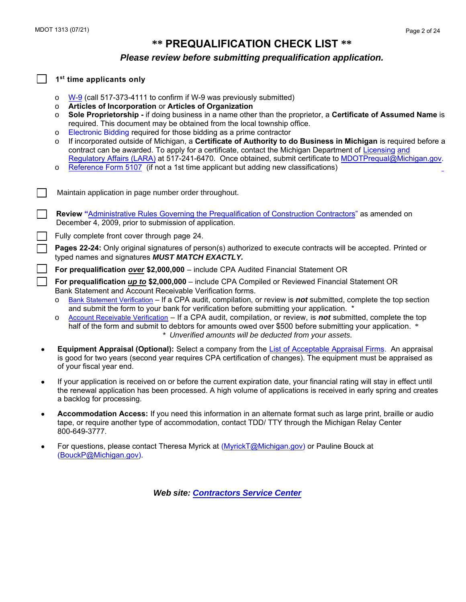### **\*\* PREQUALIFICATION CHECK LIST \*\***

#### *Please review before submitting prequalification application.*

#### **1 st time applicants only**

- o [W-9](http://www.irs.gov/pub/irs-pdf/fw9.pdf) (call 517-373-4111 to confirm if W-9 was previously submitted)
- o **Articles of Incorporation** or **Articles of Organization**
- o **Sole Proprietorship** if doing business in a name other than the proprietor, a **Certificate of Assumed Name** is required. This document may be obtained from the local township office.
- o [Electronic Bidding](https://www.michigan.gov/documents/MDOT-Bid_on_Projects_96012_7.pdf) required for those bidding as a prime contractor
- o If incorporated outside of Michigan, a **Certificate of Authority to do Business in Michigan** is required before a contract can be awarded. To apply for a certificate, contact the Michigan Department of Licensing and [Regulatory Affairs \(LARA\)](http://www.michigan.gov/dleg/0,1607,7-154-35299_35413---,00.html) at 517-241-6470. Once obtained, submit certificate to MDOTPrequal[@Michigan.gov.](http://www.michigan.gov/dleg/0,1607,7-154-35299_35413---,00.html)
- o Reference Form 5107 (if not a 1st time applicant but adding new classifications)
- Maintain application in page number order throughout.
	- **Review "**[Administrative Rules Governing the Prequalification of Construction Contractors"](https://www.michigan.gov/documents/mdot/MDOT_Construction_Prequalification_Administrative_Rules_516649_7.pdf?) as amended on December 4, 2009, prior to submission of application.
	- Fully complete front cover through page 24.

**Pages 22-24:** Only original signatures of person(s) authorized to execute contracts will be accepted. Printed or typed names and signatures *MUST MATCH EXACTLY.*

**For prequalification** *over* **\$2,000,000** – include CPA Audited Financial Statement OR

**For prequalification** *up to* **\$2,000,000** – include CPA Compiled or Reviewed Financial Statement OR Bank Statement and Account Receivable Verification forms.

- o [Bank Statement Verification](https://mdotcf.state.mi.us/public/webforms/public/1310.pdf) If a CPA audit, compilation, or review is *not* submitted, complete the top section and submit the form to your bank for verification before submitting your application. \*
- o [Account Receivable Verification](https://mdotjboss.state.mi.us/webforms/GetDocument.htm?fileName=1309.pdf) If a CPA audit, compilation, or review, is *not* submitted, complete the top half of the form and submit to debtors for amounts owed over \$500 before submitting your application. \* *\* Unverified amounts will be deducted from your assets.*
- **Equipment Appraisal (Optional):** Select a company from the [List of Acceptable Appraisal Firms.](http://www.michigan.gov/documents/appraisalfirms_53711_7.pdf?) An appraisal is good for two years (second year requires CPA certification of changes). The equipment must be appraised as of your fiscal year end.
- If your application is received on or before the current expiration date, your financial rating will stay in effect until the renewal application has been processed. A high volume of applications is received in early spring and creates a backlog for processing.
- **Accommodation Access:** If you need this information in an alternate format such as large print, braille or audio tape, or require another type of accommodation, contact TDD/ TTY through the Michigan Relay Center 800-649-3777.
- For questions, please contact Theresa Myrick at [\(MyrickT@Michigan.gov\)](mailto:MyrickT@Michigan.gov) or Pauline Bouck at [\(BouckP@Michigan.gov\)](mailto:BouckP@Michigan.gov).

*Web site: [Contractors Service Center](http://www.michigan.gov/mdot/0,4616,7-151-9625_21539---,00.html)*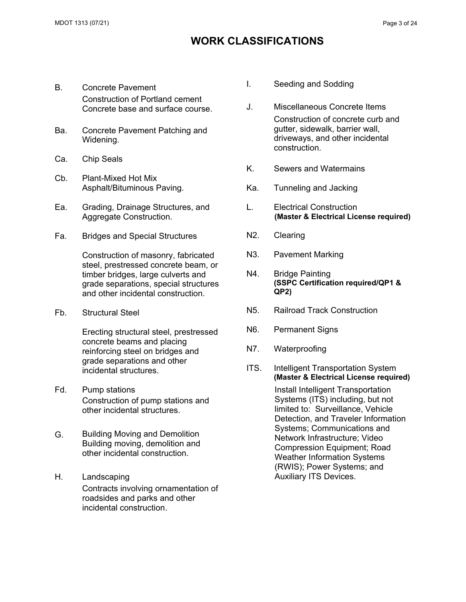### **WORK CLASSIFICATIONS**

- B. Concrete Pavement Construction of Portland cement Concrete base and surface course.
- Ba. Concrete Pavement Patching and Widening.
- Ca. Chip Seals
- Cb. Plant-Mixed Hot Mix Asphalt/Bituminous Paving.
- Ea. Grading, Drainage Structures, and Aggregate Construction.
- Fa. Bridges and Special Structures

Construction of masonry, fabricated steel, prestressed concrete beam, or timber bridges, large culverts and grade separations, special structures and other incidental construction.

Fb. Structural Steel

Erecting structural steel, prestressed concrete beams and placing reinforcing steel on bridges and grade separations and other incidental structures.

- Fd. Pump stations Construction of pump stations and other incidental structures.
- G. Building Moving and Demolition Building moving, demolition and other incidental construction.
- H. Landscaping Contracts involving ornamentation of roadsides and parks and other incidental construction.
- I. Seeding and Sodding
- J. Miscellaneous Concrete Items Construction of concrete curb and gutter, sidewalk, barrier wall, driveways, and other incidental construction.
- K. Sewers and Watermains
- Ka. Tunneling and Jacking
- L. Electrical Construction **(Master & Electrical License required)**
- N2. Clearing
- N3. Pavement Marking
- N4. Bridge Painting **(SSPC Certification required/QP1 & QP2)**
- N5. Railroad Track Construction
- N6. Permanent Signs
- N7. Waterproofing
- ITS. Intelligent Transportation System **(Master & Electrical License required)**

Install Intelligent Transportation Systems (ITS) including, but not limited to: Surveillance, Vehicle Detection, and Traveler Information Systems; Communications and Network Infrastructure; Video Compression Equipment; Road Weather Information Systems (RWIS); Power Systems; and Auxiliary ITS Devices.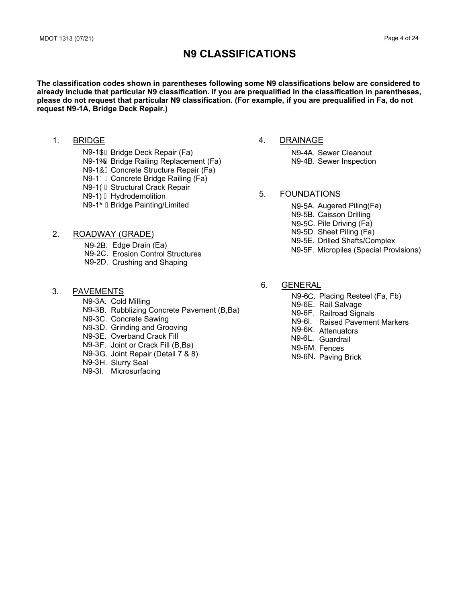### **N9 CLASSIFICATIONS**

**The classification codes shown in parentheses following some N9 classifications below are considered to already include that particular N9 classification. If you are prequalified in the classification in parentheses, please do not request that particular N9 classification. (For example, if you are prequalified in Fa, do not request N9-1A, Bridge Deck Repair.)**

1. BRIDGE

N9-1Ó EBridge Railing Replacement (Fa) N9-1ÔÈ Concrete Structure Repair (Fa) N9-1ÖÈ Concrete Bridge Railing (Fa) N9-10E Structural Crack Repair N9-10<sup> $\hat{E}$ </sup> Hydrodemolition N9-1OEBridge Painting/Limited N9-10 E Bridge Deck Repair (Fa)

4. DRAINAGE

N9-4 A. Sewer Cleanout N9-4 B. Sewer Inspection

#### 5. FOUNDATIONS

N9-5A. Augered Piling(Fa) N9-5B. Caisson Drilling N9-5C. Pile Driving (Fa) N9-5D. Sheet Piling (Fa) N9-5E. Drilled Shafts/Complex N9-5F. Micropiles (Special Provisions)

- 2. ROADWAY (GRADE)
	- N9-2B. Edge Drain (Ea)
	- N9-2C. Erosion Control Structures N9-2D. Crushing and Shaping
- 3. PAVEMENTS

N9-3A. Cold Milling

- N9-3B. Rubblizing Concrete Pavement (B,Ba)
- N9-3C. Concrete Sawing
- N9-3D. Grinding and Grooving
- N9-3E. Overband Crack Fill
- N9-3F. Joint or Crack Fill (B,Ba)
- N9-3G. Joint Repair (Detail 7 & 8)
- N9-3H. Slurry Seal
- N9-3I. Microsurfacing
- 6. GENERAL
	- N9-6C. Placing Resteel (Fa, Fb)
	- N9-6E. Rail Salvage
	- N9-6F. Railroad Signals
	- N9-6I. Raised Pavement Markers
	- N9-6K. Attenuators
	- N9-6L. Guardrail
	- N9-6M. Fences
	- N9-6N. Paving Brick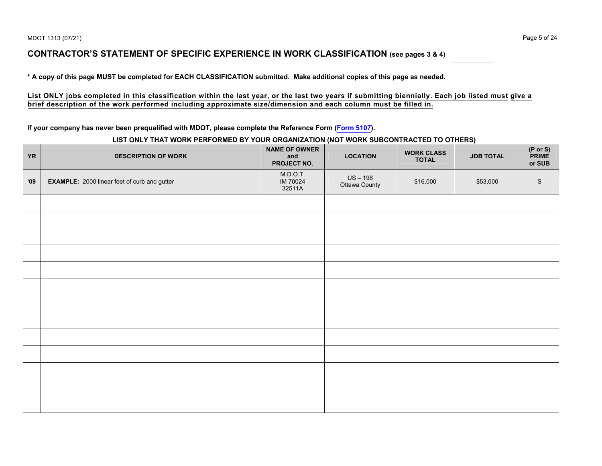### **CONTRACTOR'S STATEMENT OF SPECIFIC EXPERIENCE IN WORK CLASSIFICATION (see pages <sup>3</sup> & 4)**

**\* <sup>A</sup> copy of this page MUST be completed for EACH CLASSIFICATION submitted. Make additional copies of this page as needed.**

#### **List ONLY jobs completed in this classification within the last year, or the last two years if submitting biennially. Each job listed must give a brief description of the work performed including approximate size/dimension and each column must be filled in.**

#### **If your company has never been prequalified with MDOT, please complete the Reference Form (F[orm 5107\).](http://mdotcf.state.mi.us/public/webforms/public/5107.pdf)**

### **LIST ONLY THAT WORK PERFORMED BY YOUR ORGANIZATION (NOT WORK SUBCONTRACTED TO OTHERS)**

| <b>YR</b>     | <b>DESCRIPTION OF WORK</b>                          | <b>NAME OF OWNER</b><br>and<br>PROJECT NO. | <b>LOCATION</b>           | <b>WORK CLASS</b><br><b>TOTAL</b> | <b>JOB TOTAL</b> | (P or S)<br>PRIME<br>or SUB |
|---------------|-----------------------------------------------------|--------------------------------------------|---------------------------|-----------------------------------|------------------|-----------------------------|
| $^{\circ}$ 09 | <b>EXAMPLE:</b> 2000 linear feet of curb and gutter | M.D.O.T.<br>IM 70024<br>32511A             | US - 196<br>Ottawa County | \$16,000                          | \$53,000         | $\mathbb S$                 |
|               |                                                     |                                            |                           |                                   |                  |                             |
|               |                                                     |                                            |                           |                                   |                  |                             |
|               |                                                     |                                            |                           |                                   |                  |                             |
|               |                                                     |                                            |                           |                                   |                  |                             |
|               |                                                     |                                            |                           |                                   |                  |                             |
|               |                                                     |                                            |                           |                                   |                  |                             |
|               |                                                     |                                            |                           |                                   |                  |                             |
|               |                                                     |                                            |                           |                                   |                  |                             |
|               |                                                     |                                            |                           |                                   |                  |                             |
|               |                                                     |                                            |                           |                                   |                  |                             |
|               |                                                     |                                            |                           |                                   |                  |                             |
|               |                                                     |                                            |                           |                                   |                  |                             |
|               |                                                     |                                            |                           |                                   |                  |                             |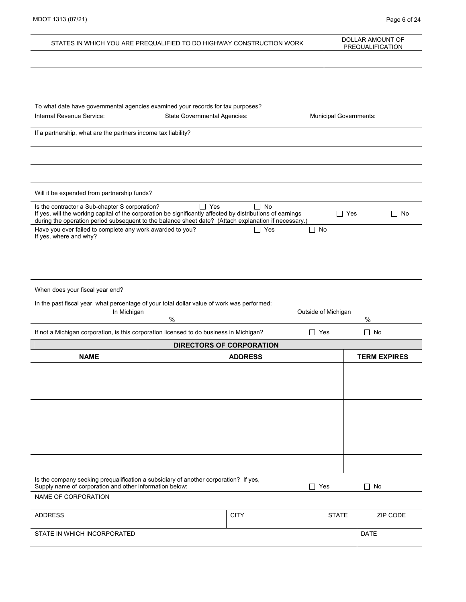| MDOT 1313 (07/21) |  |
|-------------------|--|
|-------------------|--|

| PREQUALIFICATION<br>To what date have governmental agencies examined your records for tax purposes?<br>Internal Revenue Service:<br>State Governmental Agencies:<br>Municipal Governments:<br>If a partnership, what are the partners income tax liability?<br>Will it be expended from partnership funds?<br>$\Box$ Yes<br>$\Box$ No<br>Is the contractor a Sub-chapter S corporation?<br>If yes, will the working capital of the corporation be significantly affected by distributions of earnings<br>$\Box$ Yes<br>$\Box$ No<br>during the operation period subsequent to the balance sheet date? (Attach explanation if necessary.)<br>Have you ever failed to complete any work awarded to you?<br>$\Box$ Yes<br>$\Box$ No<br>If yes, where and why?<br>When does your fiscal year end?<br>In the past fiscal year, what percentage of your total dollar value of work was performed:<br>In Michigan<br>Outside of Michigan<br>$\%$<br>$\%$ |
|---------------------------------------------------------------------------------------------------------------------------------------------------------------------------------------------------------------------------------------------------------------------------------------------------------------------------------------------------------------------------------------------------------------------------------------------------------------------------------------------------------------------------------------------------------------------------------------------------------------------------------------------------------------------------------------------------------------------------------------------------------------------------------------------------------------------------------------------------------------------------------------------------------------------------------------------------|
|                                                                                                                                                                                                                                                                                                                                                                                                                                                                                                                                                                                                                                                                                                                                                                                                                                                                                                                                                   |
|                                                                                                                                                                                                                                                                                                                                                                                                                                                                                                                                                                                                                                                                                                                                                                                                                                                                                                                                                   |
|                                                                                                                                                                                                                                                                                                                                                                                                                                                                                                                                                                                                                                                                                                                                                                                                                                                                                                                                                   |
|                                                                                                                                                                                                                                                                                                                                                                                                                                                                                                                                                                                                                                                                                                                                                                                                                                                                                                                                                   |
|                                                                                                                                                                                                                                                                                                                                                                                                                                                                                                                                                                                                                                                                                                                                                                                                                                                                                                                                                   |
|                                                                                                                                                                                                                                                                                                                                                                                                                                                                                                                                                                                                                                                                                                                                                                                                                                                                                                                                                   |
|                                                                                                                                                                                                                                                                                                                                                                                                                                                                                                                                                                                                                                                                                                                                                                                                                                                                                                                                                   |
|                                                                                                                                                                                                                                                                                                                                                                                                                                                                                                                                                                                                                                                                                                                                                                                                                                                                                                                                                   |
|                                                                                                                                                                                                                                                                                                                                                                                                                                                                                                                                                                                                                                                                                                                                                                                                                                                                                                                                                   |
|                                                                                                                                                                                                                                                                                                                                                                                                                                                                                                                                                                                                                                                                                                                                                                                                                                                                                                                                                   |
|                                                                                                                                                                                                                                                                                                                                                                                                                                                                                                                                                                                                                                                                                                                                                                                                                                                                                                                                                   |
|                                                                                                                                                                                                                                                                                                                                                                                                                                                                                                                                                                                                                                                                                                                                                                                                                                                                                                                                                   |
|                                                                                                                                                                                                                                                                                                                                                                                                                                                                                                                                                                                                                                                                                                                                                                                                                                                                                                                                                   |
|                                                                                                                                                                                                                                                                                                                                                                                                                                                                                                                                                                                                                                                                                                                                                                                                                                                                                                                                                   |
|                                                                                                                                                                                                                                                                                                                                                                                                                                                                                                                                                                                                                                                                                                                                                                                                                                                                                                                                                   |
|                                                                                                                                                                                                                                                                                                                                                                                                                                                                                                                                                                                                                                                                                                                                                                                                                                                                                                                                                   |
|                                                                                                                                                                                                                                                                                                                                                                                                                                                                                                                                                                                                                                                                                                                                                                                                                                                                                                                                                   |
|                                                                                                                                                                                                                                                                                                                                                                                                                                                                                                                                                                                                                                                                                                                                                                                                                                                                                                                                                   |
|                                                                                                                                                                                                                                                                                                                                                                                                                                                                                                                                                                                                                                                                                                                                                                                                                                                                                                                                                   |
|                                                                                                                                                                                                                                                                                                                                                                                                                                                                                                                                                                                                                                                                                                                                                                                                                                                                                                                                                   |
|                                                                                                                                                                                                                                                                                                                                                                                                                                                                                                                                                                                                                                                                                                                                                                                                                                                                                                                                                   |
|                                                                                                                                                                                                                                                                                                                                                                                                                                                                                                                                                                                                                                                                                                                                                                                                                                                                                                                                                   |
| If not a Michigan corporation, is this corporation licensed to do business in Michigan?<br>$\Box$ Yes<br>$\Box$ No                                                                                                                                                                                                                                                                                                                                                                                                                                                                                                                                                                                                                                                                                                                                                                                                                                |
| <b>DIRECTORS OF CORPORATION</b>                                                                                                                                                                                                                                                                                                                                                                                                                                                                                                                                                                                                                                                                                                                                                                                                                                                                                                                   |
| <b>TERM EXPIRES</b><br><b>NAME</b><br><b>ADDRESS</b>                                                                                                                                                                                                                                                                                                                                                                                                                                                                                                                                                                                                                                                                                                                                                                                                                                                                                              |
|                                                                                                                                                                                                                                                                                                                                                                                                                                                                                                                                                                                                                                                                                                                                                                                                                                                                                                                                                   |
|                                                                                                                                                                                                                                                                                                                                                                                                                                                                                                                                                                                                                                                                                                                                                                                                                                                                                                                                                   |
|                                                                                                                                                                                                                                                                                                                                                                                                                                                                                                                                                                                                                                                                                                                                                                                                                                                                                                                                                   |
|                                                                                                                                                                                                                                                                                                                                                                                                                                                                                                                                                                                                                                                                                                                                                                                                                                                                                                                                                   |
|                                                                                                                                                                                                                                                                                                                                                                                                                                                                                                                                                                                                                                                                                                                                                                                                                                                                                                                                                   |
|                                                                                                                                                                                                                                                                                                                                                                                                                                                                                                                                                                                                                                                                                                                                                                                                                                                                                                                                                   |
|                                                                                                                                                                                                                                                                                                                                                                                                                                                                                                                                                                                                                                                                                                                                                                                                                                                                                                                                                   |
|                                                                                                                                                                                                                                                                                                                                                                                                                                                                                                                                                                                                                                                                                                                                                                                                                                                                                                                                                   |
|                                                                                                                                                                                                                                                                                                                                                                                                                                                                                                                                                                                                                                                                                                                                                                                                                                                                                                                                                   |
|                                                                                                                                                                                                                                                                                                                                                                                                                                                                                                                                                                                                                                                                                                                                                                                                                                                                                                                                                   |
| Is the company seeking prequalification a subsidiary of another corporation? If yes,                                                                                                                                                                                                                                                                                                                                                                                                                                                                                                                                                                                                                                                                                                                                                                                                                                                              |
| Supply name of corporation and other information below:<br>$\Box$ Yes<br>$\Box$ No<br>NAME OF CORPORATION                                                                                                                                                                                                                                                                                                                                                                                                                                                                                                                                                                                                                                                                                                                                                                                                                                         |
|                                                                                                                                                                                                                                                                                                                                                                                                                                                                                                                                                                                                                                                                                                                                                                                                                                                                                                                                                   |
| <b>ADDRESS</b><br><b>CITY</b><br><b>STATE</b><br>ZIP CODE                                                                                                                                                                                                                                                                                                                                                                                                                                                                                                                                                                                                                                                                                                                                                                                                                                                                                         |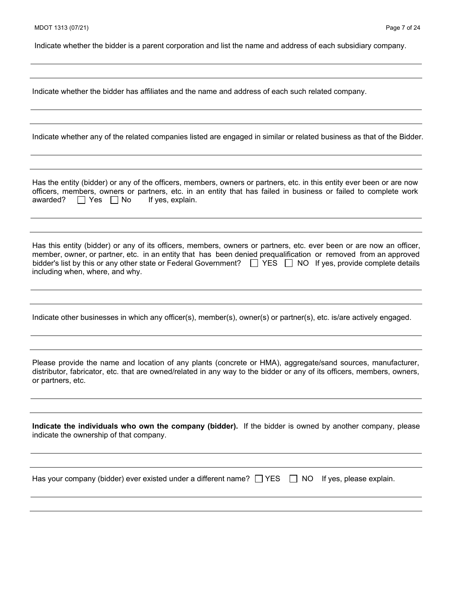Indicate whether the bidder is a parent corporation and list the name and address of each subsidiary company.

Indicate whether the bidder has affiliates and the name and address of each such related company.

Indicate whether any of the related companies listed are engaged in similar or related business as that of the Bidder.

Has the entity (bidder) or any of the officers, members, owners or partners, etc. in this entity ever been or are now officers, members, owners or partners, etc. in an entity that has failed in business or failed to complete work awarded?  $\Box$  Yes  $\Box$  No If yes, explain.

Has this entity (bidder) or any of its officers, members, owners or partners, etc. ever been or are now an officer, member, owner, or partner, etc. in an entity that has been denied prequalification or removed from an approved bidder's list by this or any other state or Federal Government?  $\Box$  YES  $\Box$  NO If yes, provide complete details including when, where, and why.

Indicate other businesses in which any officer(s), member(s), owner(s) or partner(s), etc. is/are actively engaged.

Please provide the name and location of any plants (concrete or HMA), aggregate/sand sources, manufacturer, distributor, fabricator, etc. that are owned/related in any way to the bidder or any of its officers, members, owners, or partners, etc.

**Indicate the individuals who own the company (bidder).** If the bidder is owned by another company, please indicate the ownership of that company.

Has your company (bidder) ever existed under a different name?  $\Box$  YES  $\Box$  NO If yes, please explain.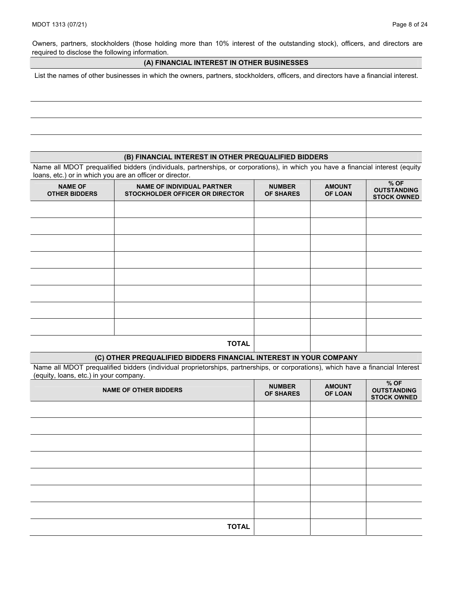Owners, partners, stockholders (those holding more than 10% interest of the outstanding stock), officers, and directors are required to disclose the following information.

#### **(A) FINANCIAL INTEREST IN OTHER BUSINESSES**

List the names of other businesses in which the owners, partners, stockholders, officers, and directors have a financial interest.

#### **(B) FINANCIAL INTEREST IN OTHER PREQUALIFIED BIDDERS**

Name all MDOT prequalified bidders (individuals, partnerships, or corporations), in which you have a financial interest (equity loans, etc.) or in which you are an officer or director.

| <b>NAME OF</b><br><b>OTHER BIDDERS</b> | <b>NAME OF INDIVIDUAL PARTNER</b><br>STOCKHOLDER OFFICER OR DIRECTOR | <b>NUMBER</b><br><b>OF SHARES</b> | <b>AMOUNT</b><br>OF LOAN | $%$ OF<br><b>OUTSTANDING</b><br><b>STOCK OWNED</b> |
|----------------------------------------|----------------------------------------------------------------------|-----------------------------------|--------------------------|----------------------------------------------------|
|                                        |                                                                      |                                   |                          |                                                    |
|                                        |                                                                      |                                   |                          |                                                    |
|                                        |                                                                      |                                   |                          |                                                    |
|                                        |                                                                      |                                   |                          |                                                    |
|                                        |                                                                      |                                   |                          |                                                    |
|                                        |                                                                      |                                   |                          |                                                    |
|                                        |                                                                      |                                   |                          |                                                    |
|                                        |                                                                      |                                   |                          |                                                    |
|                                        | <b>TOTAL</b>                                                         |                                   |                          |                                                    |

#### **(C) OTHER PREQUALIFIED BIDDERS FINANCIAL INTEREST IN YOUR COMPANY**

Name all MDOT prequalified bidders (individual proprietorships, partnerships, or corporations), which have a financial Interest (equity, loans, etc.) in your company.

| <b>NAME OF OTHER BIDDERS</b> | <b>NUMBER</b><br><b>OF SHARES</b> | <b>AMOUNT</b><br>OF LOAN | $%$ OF<br><b>OUTSTANDING</b><br><b>STOCK OWNED</b> |
|------------------------------|-----------------------------------|--------------------------|----------------------------------------------------|
|                              |                                   |                          |                                                    |
|                              |                                   |                          |                                                    |
|                              |                                   |                          |                                                    |
|                              |                                   |                          |                                                    |
|                              |                                   |                          |                                                    |
|                              |                                   |                          |                                                    |
|                              |                                   |                          |                                                    |
| <b>TOTAL</b>                 |                                   |                          |                                                    |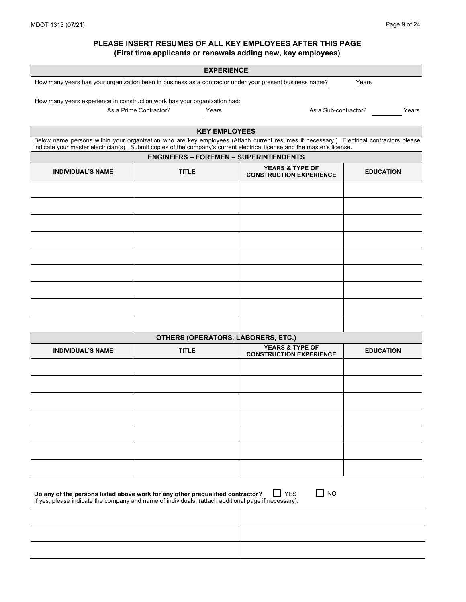#### **PLEASE INSERT RESUMES OF ALL KEY EMPLOYEES AFTER THIS PAGE (First time applicants or renewals adding new, key employees)**

|                          | <b>EXPERIENCE</b>                                                                                                                                                                                                                                                  |                                                              |                  |
|--------------------------|--------------------------------------------------------------------------------------------------------------------------------------------------------------------------------------------------------------------------------------------------------------------|--------------------------------------------------------------|------------------|
|                          | How many years has your organization been in business as a contractor under your present business name?                                                                                                                                                            |                                                              | Years            |
|                          | How many years experience in construction work has your organization had:                                                                                                                                                                                          |                                                              |                  |
|                          | As a Prime Contractor?<br>Years                                                                                                                                                                                                                                    | As a Sub-contractor?                                         | Years            |
|                          |                                                                                                                                                                                                                                                                    |                                                              |                  |
|                          | <b>KEY EMPLOYEES</b>                                                                                                                                                                                                                                               |                                                              |                  |
|                          | Below name persons within your organization who are key employees (Attach current resumes if necessary.) Electrical contractors please<br>indicate your master electrician(s). Submit copies of the company's current electrical license and the master's license. |                                                              |                  |
|                          | <b>ENGINEERS - FOREMEN - SUPERINTENDENTS</b>                                                                                                                                                                                                                       |                                                              |                  |
| <b>INDIVIDUAL'S NAME</b> | <b>TITLE</b>                                                                                                                                                                                                                                                       | <b>YEARS &amp; TYPE OF</b><br><b>CONSTRUCTION EXPERIENCE</b> | <b>EDUCATION</b> |
|                          |                                                                                                                                                                                                                                                                    |                                                              |                  |
|                          |                                                                                                                                                                                                                                                                    |                                                              |                  |
|                          |                                                                                                                                                                                                                                                                    |                                                              |                  |
|                          |                                                                                                                                                                                                                                                                    |                                                              |                  |
|                          |                                                                                                                                                                                                                                                                    |                                                              |                  |
|                          |                                                                                                                                                                                                                                                                    |                                                              |                  |
|                          |                                                                                                                                                                                                                                                                    |                                                              |                  |
|                          |                                                                                                                                                                                                                                                                    |                                                              |                  |
|                          |                                                                                                                                                                                                                                                                    |                                                              |                  |
|                          |                                                                                                                                                                                                                                                                    |                                                              |                  |
|                          |                                                                                                                                                                                                                                                                    |                                                              |                  |
|                          |                                                                                                                                                                                                                                                                    |                                                              |                  |
|                          |                                                                                                                                                                                                                                                                    |                                                              |                  |
|                          | OTHERS (OPERATORS, LABORERS, ETC.)                                                                                                                                                                                                                                 |                                                              |                  |
| <b>INDIVIDUAL'S NAME</b> | <b>TITLE</b>                                                                                                                                                                                                                                                       | <b>YEARS &amp; TYPE OF</b><br><b>CONSTRUCTION EXPERIENCE</b> | <b>EDUCATION</b> |
|                          |                                                                                                                                                                                                                                                                    |                                                              |                  |
|                          |                                                                                                                                                                                                                                                                    |                                                              |                  |
|                          |                                                                                                                                                                                                                                                                    |                                                              |                  |
|                          |                                                                                                                                                                                                                                                                    |                                                              |                  |
|                          |                                                                                                                                                                                                                                                                    |                                                              |                  |
|                          |                                                                                                                                                                                                                                                                    |                                                              |                  |
|                          |                                                                                                                                                                                                                                                                    |                                                              |                  |
|                          |                                                                                                                                                                                                                                                                    |                                                              |                  |
|                          |                                                                                                                                                                                                                                                                    |                                                              |                  |
|                          |                                                                                                                                                                                                                                                                    |                                                              |                  |
|                          | Do any of the persons listed above work for any other prequalified contractor?<br>If yes, please indicate the company and name of individuals: (attach additional page if necessary).                                                                              | <b>NO</b><br><b>YES</b><br>$\blacksquare$                    |                  |
|                          |                                                                                                                                                                                                                                                                    |                                                              |                  |
|                          |                                                                                                                                                                                                                                                                    |                                                              |                  |
|                          |                                                                                                                                                                                                                                                                    |                                                              |                  |
|                          |                                                                                                                                                                                                                                                                    |                                                              |                  |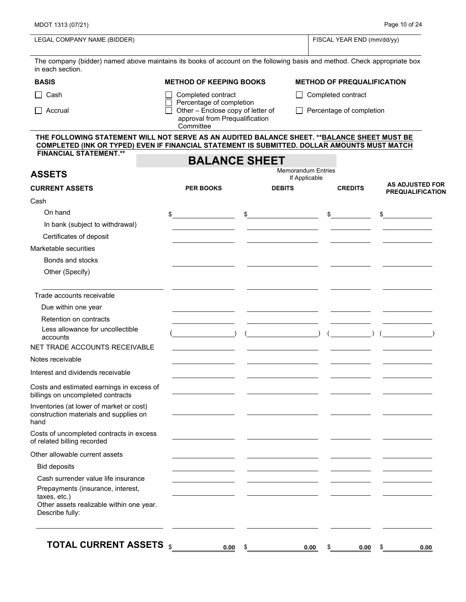| LEGAL COMPANY NAME (BIDDER)                                                                                                                                                                  |                                                                                                 |               | FISCAL YEAR END (mm/dd/yy)                            |                         |  |  |  |
|----------------------------------------------------------------------------------------------------------------------------------------------------------------------------------------------|-------------------------------------------------------------------------------------------------|---------------|-------------------------------------------------------|-------------------------|--|--|--|
| The company (bidder) named above maintains its books of account on the following basis and method. Check appropriate box<br>in each section.                                                 |                                                                                                 |               |                                                       |                         |  |  |  |
| <b>BASIS</b>                                                                                                                                                                                 | <b>METHOD OF KEEPING BOOKS</b>                                                                  |               | <b>METHOD OF PREQUALIFICATION</b>                     |                         |  |  |  |
| $\Box$ Cash                                                                                                                                                                                  | Completed contract                                                                              | $\perp$       | Completed contract<br>$\Box$ Percentage of completion |                         |  |  |  |
| Accrual                                                                                                                                                                                      | Percentage of completion<br>Other - Enclose copy of letter of<br>approval from Prequalification |               |                                                       |                         |  |  |  |
| THE FOLLOWING STATEMENT WILL NOT SERVE AS AN AUDITED BALANCE SHEET. ** BALANCE SHEET MUST BE<br>COMPLETED (INK OR TYPED) EVEN IF FINANCIAL STATEMENT IS SUBMITTED. DOLLAR AMOUNTS MUST MATCH | Committee                                                                                       |               |                                                       |                         |  |  |  |
| <b>FINANCIAL STATEMENT.**</b>                                                                                                                                                                | <b>BALANCE SHEET</b>                                                                            |               |                                                       |                         |  |  |  |
| <b>ASSETS</b>                                                                                                                                                                                |                                                                                                 |               | <b>Memorandum Entries</b>                             |                         |  |  |  |
| <b>CURRENT ASSETS</b>                                                                                                                                                                        | <b>PER BOOKS</b>                                                                                | <b>DEBITS</b> | If Applicable<br><b>CREDITS</b>                       | <b>AS ADJUSTED FOR</b>  |  |  |  |
|                                                                                                                                                                                              |                                                                                                 |               |                                                       | <b>PREQUALIFICATION</b> |  |  |  |
| Cash<br>On hand                                                                                                                                                                              |                                                                                                 |               |                                                       |                         |  |  |  |
|                                                                                                                                                                                              | $\mathbb{S}$ . The set of $\mathbb{S}$                                                          | $\sim$        | $\frac{1}{\sqrt{2}}$                                  | $\frac{1}{2}$           |  |  |  |
| In bank (subject to withdrawal)<br>Certificates of deposit                                                                                                                                   |                                                                                                 |               |                                                       |                         |  |  |  |
| Marketable securities                                                                                                                                                                        |                                                                                                 |               |                                                       |                         |  |  |  |
| Bonds and stocks                                                                                                                                                                             |                                                                                                 |               |                                                       |                         |  |  |  |
| Other (Specify)                                                                                                                                                                              |                                                                                                 |               |                                                       |                         |  |  |  |
| Trade accounts receivable                                                                                                                                                                    |                                                                                                 |               |                                                       |                         |  |  |  |
| Due within one year                                                                                                                                                                          |                                                                                                 |               |                                                       |                         |  |  |  |
| Retention on contracts                                                                                                                                                                       |                                                                                                 |               |                                                       |                         |  |  |  |
| Less allowance for uncollectible<br>accounts                                                                                                                                                 |                                                                                                 |               | $\rightarrow$                                         |                         |  |  |  |
| NET TRADE ACCOUNTS RECEIVABLE                                                                                                                                                                |                                                                                                 |               |                                                       |                         |  |  |  |
| Notes receivable                                                                                                                                                                             |                                                                                                 |               |                                                       |                         |  |  |  |
| Interest and dividends receivable                                                                                                                                                            |                                                                                                 |               |                                                       |                         |  |  |  |
| Costs and estimated earnings in excess of<br>billings on uncompleted contracts                                                                                                               |                                                                                                 |               |                                                       |                         |  |  |  |
| Inventories (at lower of market or cost)<br>construction materials and supplies on<br>hand                                                                                                   |                                                                                                 |               |                                                       |                         |  |  |  |
| Costs of uncompleted contracts in excess<br>of related billing recorded                                                                                                                      |                                                                                                 |               |                                                       |                         |  |  |  |
| Other allowable current assets                                                                                                                                                               |                                                                                                 |               |                                                       |                         |  |  |  |
| <b>Bid deposits</b>                                                                                                                                                                          |                                                                                                 |               |                                                       |                         |  |  |  |
| Cash surrender value life insurance                                                                                                                                                          |                                                                                                 |               |                                                       |                         |  |  |  |
| Prepayments (insurance, interest,<br>taxes, etc.)<br>Other assets realizable within one year.<br>Describe fully:                                                                             |                                                                                                 |               |                                                       |                         |  |  |  |
| <b>TOTAL CURRENT ASSETS</b> \$                                                                                                                                                               | 0.00<br>- \$                                                                                    |               | 0.00<br>\$<br>0.00                                    | - \$<br>0.00            |  |  |  |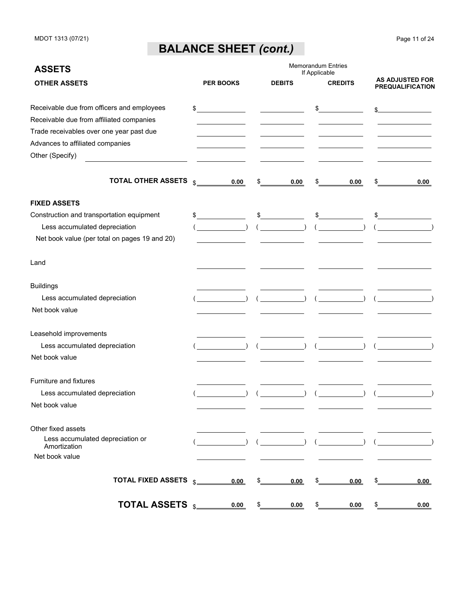## **BALANCE SHEET** *(cont.)*

| <b>ASSETS</b>                                                                          |                |                  |                  | If Applicable | <b>Memorandum Entries</b> |                                                   |
|----------------------------------------------------------------------------------------|----------------|------------------|------------------|---------------|---------------------------|---------------------------------------------------|
| <b>OTHER ASSETS</b>                                                                    |                | <b>PER BOOKS</b> | <b>DEBITS</b>    |               | <b>CREDITS</b>            | <b>AS ADJUSTED FOR</b><br><b>PREQUALIFICATION</b> |
| Receivable due from officers and employees<br>Receivable due from affiliated companies | $\sim$         |                  |                  |               | $\frac{1}{2}$             | s                                                 |
| Trade receivables over one year past due                                               |                |                  |                  |               |                           |                                                   |
| Advances to affiliated companies                                                       |                |                  |                  |               |                           |                                                   |
| Other (Specify)                                                                        |                |                  |                  |               |                           |                                                   |
| TOTAL OTHER ASSETS                                                                     | $\mathfrak{L}$ | 0.00             | \$<br>0.00       | \$            | 0.00                      | \$<br>0.00                                        |
| <b>FIXED ASSETS</b>                                                                    |                |                  |                  |               |                           |                                                   |
| Construction and transportation equipment                                              | $\mathbb{S}$   |                  | \$               |               | $\frac{1}{2}$             | $\frac{1}{2}$                                     |
| Less accumulated depreciation                                                          |                |                  |                  |               |                           |                                                   |
| Net book value (per total on pages 19 and 20)                                          |                |                  |                  |               |                           |                                                   |
| Land                                                                                   |                |                  |                  |               |                           |                                                   |
| <b>Buildings</b>                                                                       |                |                  |                  |               |                           |                                                   |
| Less accumulated depreciation                                                          |                |                  | $\overline{a}$ ( |               |                           |                                                   |
| Net book value                                                                         |                |                  |                  |               |                           |                                                   |
| Leasehold improvements                                                                 |                |                  |                  |               |                           |                                                   |
| Less accumulated depreciation                                                          |                |                  | $($ ) (          |               |                           |                                                   |
| Net book value                                                                         |                |                  |                  |               |                           |                                                   |
| Furniture and fixtures                                                                 |                |                  |                  |               |                           |                                                   |
| Less accumulated depreciation                                                          |                |                  | $\rightarrow$    |               |                           |                                                   |
| Net book value                                                                         |                |                  |                  |               |                           |                                                   |
| Other fixed assets                                                                     |                |                  |                  |               |                           |                                                   |
| Less accumulated depreciation or<br>Amortization                                       |                |                  |                  |               |                           |                                                   |
| Net book value                                                                         |                |                  |                  |               |                           |                                                   |
| <b>TOTAL FIXED ASSETS</b>                                                              |                | 0.00             | \$<br>0.00       | \$            | 0.00                      | \$<br>0.00                                        |
| TOTAL ASSETS s_                                                                        |                | 0.00             | \$<br>0.00       | \$            | 0.00                      | \$<br>0.00                                        |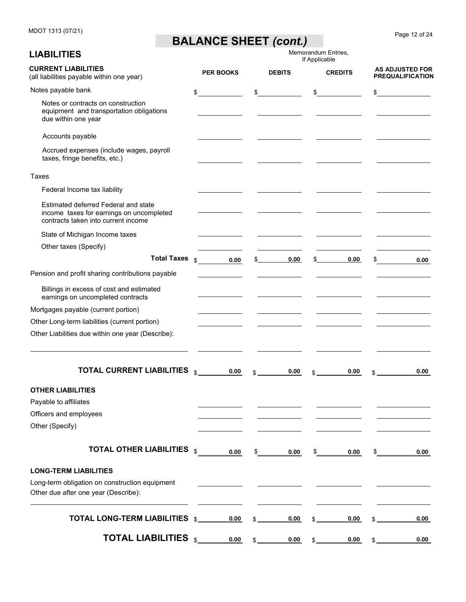## **BALANCE SHEET** *(cont.)*

| <b>LIABILITIES</b>                                                                                                      |                  |               |                                                | If Applicable | Memorandum Entries,                   |     |                                                   |
|-------------------------------------------------------------------------------------------------------------------------|------------------|---------------|------------------------------------------------|---------------|---------------------------------------|-----|---------------------------------------------------|
| <b>CURRENT LIABILITIES</b><br>(all liabilities payable within one year)                                                 | <b>PER BOOKS</b> |               | <b>DEBITS</b>                                  |               | <b>CREDITS</b>                        |     | <b>AS ADJUSTED FOR</b><br><b>PREQUALIFICATION</b> |
| Notes payable bank                                                                                                      | \$               | \$            |                                                | \$            |                                       | \$  |                                                   |
| Notes or contracts on construction<br>equipment and transportation obligations<br>due within one year                   |                  |               |                                                |               |                                       |     |                                                   |
| Accounts payable                                                                                                        |                  |               |                                                |               |                                       |     |                                                   |
| Accrued expenses (include wages, payroll<br>taxes, fringe benefits, etc.)                                               |                  |               |                                                |               |                                       |     |                                                   |
| Taxes                                                                                                                   |                  |               |                                                |               |                                       |     |                                                   |
| Federal Income tax liability                                                                                            |                  |               |                                                |               |                                       |     |                                                   |
| Estimated deferred Federal and state<br>income taxes for earnings on uncompleted<br>contracts taken into current income |                  |               |                                                |               |                                       |     |                                                   |
| State of Michigan Income taxes                                                                                          |                  |               |                                                |               |                                       |     |                                                   |
| Other taxes (Specify)                                                                                                   |                  |               |                                                |               |                                       |     |                                                   |
| <b>Total Taxes</b>                                                                                                      | \$<br>0.00       |               | 0.00<br>$\mathbb{S}$ . The set of $\mathbb{S}$ |               | 0.00<br>$\mathbb{S}$ and $\mathbb{S}$ | \$  | 0.00                                              |
| Pension and profit sharing contributions payable                                                                        |                  |               |                                                |               |                                       |     |                                                   |
| Billings in excess of cost and estimated<br>earnings on uncompleted contracts                                           |                  |               |                                                |               |                                       |     |                                                   |
| Mortgages payable (current portion)                                                                                     |                  |               |                                                |               |                                       |     |                                                   |
| Other Long-term liabilities (current portion)                                                                           |                  |               |                                                |               |                                       |     |                                                   |
| Other Liabilities due within one year (Describe):                                                                       |                  |               |                                                |               |                                       |     |                                                   |
| <b>TOTAL CURRENT LIABILITIES</b>                                                                                        | \$<br>0.00       | \$.           | 0.00                                           | \$            | 0.00                                  | \$  | 0.00                                              |
| OTHER LIABILITIES                                                                                                       |                  |               |                                                |               |                                       |     |                                                   |
| Payable to affiliates                                                                                                   |                  |               |                                                |               |                                       |     |                                                   |
| Officers and employees                                                                                                  |                  |               |                                                |               |                                       |     |                                                   |
| Other (Specify)                                                                                                         |                  |               |                                                |               |                                       |     |                                                   |
| <b>TOTAL OTHER LIABILITIES</b>                                                                                          | \$<br>0.00       | \$            | 0.00                                           | \$            | 0.00                                  | \$  | 0.00                                              |
| <b>LONG-TERM LIABILITIES</b>                                                                                            |                  |               |                                                |               |                                       |     |                                                   |
| Long-term obligation on construction equipment                                                                          |                  |               |                                                |               |                                       |     |                                                   |
| Other due after one year (Describe):                                                                                    |                  |               |                                                |               |                                       |     |                                                   |
| <b>TOTAL LONG-TERM LIABILITIES</b> \$                                                                                   | 0.00             | $\mathsf{\$}$ | 0.00                                           | \$_           | 0.00                                  | \$_ | 0.00                                              |
| <b>TOTAL LIABILITIES</b> \$                                                                                             | 0.00             | $\mathsf{s}$  | 0.00                                           | $\frac{1}{2}$ | 0.00                                  | \$_ | 0.00                                              |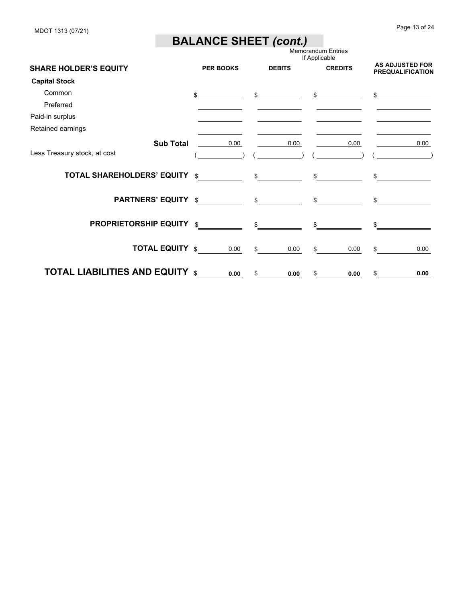MDOT 1313 (07/21)

### **BALANCE SHEET** *(cont.)*

|                                        |                  |               | <b>Memorandum Entries</b><br>If Applicable | <b>AS ADJUSTED FOR</b><br><b>PREQUALIFICATION</b> |  |
|----------------------------------------|------------------|---------------|--------------------------------------------|---------------------------------------------------|--|
| <b>SHARE HOLDER'S EQUITY</b>           | <b>PER BOOKS</b> | <b>DEBITS</b> | <b>CREDITS</b>                             |                                                   |  |
| <b>Capital Stock</b>                   |                  |               |                                            |                                                   |  |
| Common                                 | \$               | \$            | \$                                         | \$                                                |  |
| Preferred                              |                  |               |                                            |                                                   |  |
| Paid-in surplus                        |                  |               |                                            |                                                   |  |
| Retained earnings                      |                  |               |                                            |                                                   |  |
| <b>Sub Total</b>                       | 0.00             | 0.00          | 0.00                                       | 0.00                                              |  |
| Less Treasury stock, at cost           |                  |               |                                            |                                                   |  |
| <b>TOTAL SHAREHOLDERS' EQUITY \$</b>   |                  |               |                                            |                                                   |  |
| <b>PARTNERS' EQUITY \$</b>             |                  |               |                                            |                                                   |  |
| <b>PROPRIETORSHIP EQUITY \$</b>        |                  |               |                                            |                                                   |  |
| <b>TOTAL EQUITY \$</b>                 | 0.00             | 0.00<br>\$    | 0.00                                       | 0.00                                              |  |
| <b>TOTAL LIABILITIES AND EQUITY \$</b> | 0.00             | 0.00          | 0.00                                       | 0.00                                              |  |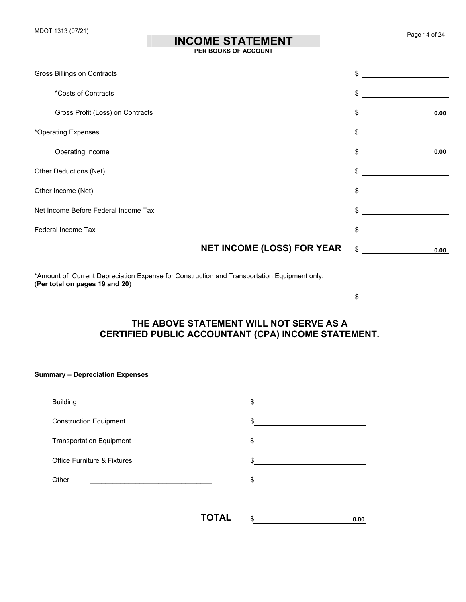## **INCOME STATEMENT**

 $\frac{1}{2}$ 

#### **PER BOOKS OF ACCOUNT**

| Gross Billings on Contracts          |                                   | \$         |
|--------------------------------------|-----------------------------------|------------|
| *Costs of Contracts                  |                                   | \$         |
| Gross Profit (Loss) on Contracts     |                                   | \$<br>0.00 |
| *Operating Expenses                  |                                   | \$         |
| Operating Income                     |                                   | \$<br>0.00 |
| Other Deductions (Net)               |                                   | \$         |
| Other Income (Net)                   |                                   | \$         |
| Net Income Before Federal Income Tax |                                   | \$         |
| Federal Income Tax                   |                                   | \$         |
|                                      | <b>NET INCOME (LOSS) FOR YEAR</b> | \$<br>0.00 |

\*Amount of Current Depreciation Expense for Construction and Transportation Equipment only. (**Per total on pages 19 and 20**)

### **THE ABOVE STATEMENT WILL NOT SERVE AS A CERTIFIED PUBLIC ACCOUNTANT (CPA) INCOME STATEMENT.**

#### **Summary – Depreciation Expenses**

| <b>Building</b>                        |       | \$           |  |
|----------------------------------------|-------|--------------|--|
| <b>Construction Equipment</b>          |       | \$           |  |
| <b>Transportation Equipment</b>        |       | $\mathbb{S}$ |  |
| <b>Office Furniture &amp; Fixtures</b> |       | \$           |  |
| Other                                  |       | \$           |  |
|                                        |       |              |  |
|                                        | TOTAL | \$<br>0.00   |  |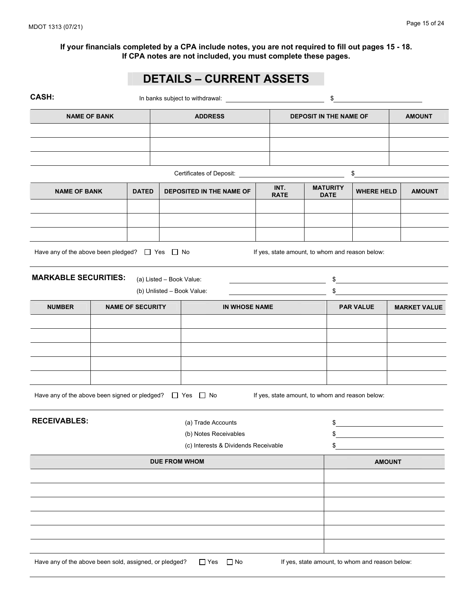## **DETAILS – CURRENT ASSETS**

| CASH:                                                              |                          |                                          | \$                  |                               |                                |                                                 |               |                     |  |
|--------------------------------------------------------------------|--------------------------|------------------------------------------|---------------------|-------------------------------|--------------------------------|-------------------------------------------------|---------------|---------------------|--|
| <b>NAME OF BANK</b>                                                |                          | <b>ADDRESS</b>                           |                     | <b>DEPOSIT IN THE NAME OF</b> |                                |                                                 |               | <b>AMOUNT</b>       |  |
|                                                                    |                          |                                          |                     |                               |                                |                                                 |               |                     |  |
|                                                                    |                          |                                          |                     |                               |                                |                                                 |               |                     |  |
|                                                                    |                          | Certificates of Deposit: _______________ |                     |                               |                                | \$                                              |               |                     |  |
| <b>NAME OF BANK</b>                                                | <b>DATED</b>             | DEPOSITED IN THE NAME OF                 | INT.<br><b>RATE</b> |                               | <b>MATURITY</b><br><b>DATE</b> | <b>WHERE HELD</b>                               |               | <b>AMOUNT</b>       |  |
|                                                                    |                          |                                          |                     |                               |                                |                                                 |               |                     |  |
|                                                                    |                          |                                          |                     |                               |                                |                                                 |               |                     |  |
| Have any of the above been pledged? $\Box$ Yes $\Box$ No           |                          |                                          |                     |                               |                                | If yes, state amount, to whom and reason below: |               |                     |  |
| <b>MARKABLE SECURITIES:</b>                                        | (a) Listed - Book Value: |                                          |                     |                               | \$                             |                                                 |               |                     |  |
|                                                                    |                          | (b) Unlisted - Book Value:               |                     |                               | \$                             |                                                 |               |                     |  |
| <b>NUMBER</b>                                                      | <b>NAME OF SECURITY</b>  | IN WHOSE NAME                            |                     |                               |                                | <b>PAR VALUE</b>                                |               | <b>MARKET VALUE</b> |  |
|                                                                    |                          |                                          |                     |                               |                                |                                                 |               |                     |  |
|                                                                    |                          |                                          |                     |                               |                                |                                                 |               |                     |  |
|                                                                    |                          |                                          |                     |                               |                                |                                                 |               |                     |  |
|                                                                    |                          |                                          |                     |                               |                                |                                                 |               |                     |  |
| Have any of the above been signed or pledged? $\Box$ Yes $\Box$ No |                          |                                          |                     |                               |                                | If yes, state amount, to whom and reason below: |               |                     |  |
| <b>RECEIVABLES:</b>                                                |                          | (a) Trade Accounts                       |                     |                               | \$                             |                                                 |               |                     |  |
|                                                                    |                          | (b) Notes Receivables                    |                     |                               | \$                             |                                                 |               |                     |  |
|                                                                    |                          | (c) Interests & Dividends Receivable     |                     |                               | \$                             |                                                 |               |                     |  |
|                                                                    |                          | <b>DUE FROM WHOM</b>                     |                     |                               |                                |                                                 | <b>AMOUNT</b> |                     |  |
|                                                                    |                          |                                          |                     |                               |                                |                                                 |               |                     |  |
|                                                                    |                          |                                          |                     |                               |                                |                                                 |               |                     |  |
|                                                                    |                          |                                          |                     |                               |                                |                                                 |               |                     |  |
|                                                                    |                          |                                          |                     |                               |                                |                                                 |               |                     |  |
|                                                                    |                          |                                          |                     |                               |                                |                                                 |               |                     |  |
| Have any of the above been sold, assigned, or pledged?             |                          | $\Box$ Yes<br>$\Box$ No                  |                     |                               |                                | If yes, state amount, to whom and reason below: |               |                     |  |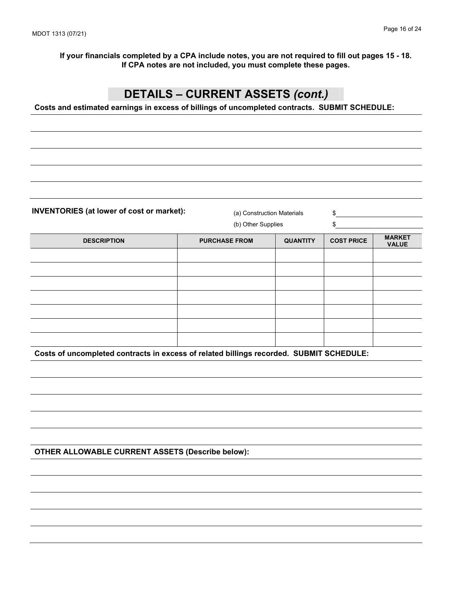### **DETAILS – CURRENT ASSETS** *(cont.)*

**Costs and estimated earnings in excess of billings of uncompleted contracts. SUBMIT SCHEDULE:** 

**INVENTORIES (at lower of cost or market):** (a) Construction Materials  $\qquad$  \$

(b) Other Supplies \$

| <b>DESCRIPTION</b> | <b>PURCHASE FROM</b> | <b>QUANTITY</b> | <b>COST PRICE</b> | <b>MARKET</b><br><b>VALUE</b> |
|--------------------|----------------------|-----------------|-------------------|-------------------------------|
|                    |                      |                 |                   |                               |
|                    |                      |                 |                   |                               |
|                    |                      |                 |                   |                               |
|                    |                      |                 |                   |                               |
|                    |                      |                 |                   |                               |
|                    |                      |                 |                   |                               |
|                    |                      |                 |                   |                               |

**Costs of uncompleted contracts in excess of related billings recorded. SUBMIT SCHEDULE:** 

**OTHER ALLOWABLE CURRENT ASSETS (Describe below):**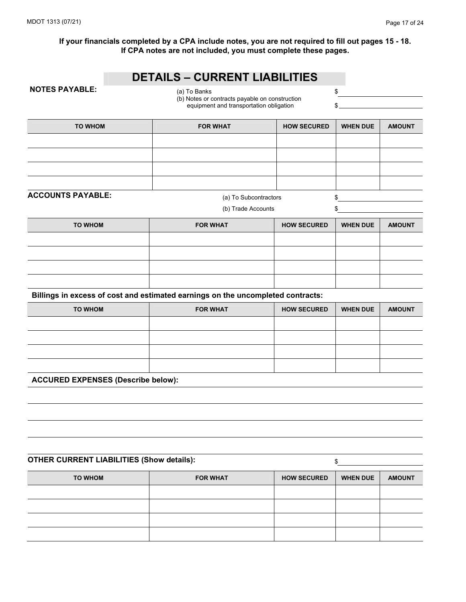### **DETAILS – CURRENT LIABILITIES**

**NOTES PAYABLE:**  $\begin{array}{ccc} (a) & \text{To Banks} \end{array}$  \$ (b) Notes or contracts payable on construction equipment and transportation obligation  $\$ 

| TO WHOM | <b>FOR WHAT</b> | <b>HOW SECURED</b> | <b>WHEN DUE</b> | <b>AMOUNT</b> |
|---------|-----------------|--------------------|-----------------|---------------|
|         |                 |                    |                 |               |
|         |                 |                    |                 |               |
|         |                 |                    |                 |               |
|         |                 |                    |                 |               |

**ACCOUNTS PAYABLE:**  $(a)$  To Subcontractors  $\qquad \qquad$  \$

(b) Trade Accounts \$

| TO WHOM | <b>FOR WHAT</b> | <b>HOW SECURED</b> | <b>WHEN DUE</b> | <b>AMOUNT</b> |
|---------|-----------------|--------------------|-----------------|---------------|
|         |                 |                    |                 |               |
|         |                 |                    |                 |               |
|         |                 |                    |                 |               |
|         |                 |                    |                 |               |

**Billings in excess of cost and estimated earnings on the uncompleted contracts:** 

| TO WHOM | <b>FOR WHAT</b> | <b>HOW SECURED</b> | <b>WHEN DUE</b> | <b>AMOUNT</b> |
|---------|-----------------|--------------------|-----------------|---------------|
|         |                 |                    |                 |               |
|         |                 |                    |                 |               |
|         |                 |                    |                 |               |
|         |                 |                    |                 |               |

**ACCURED EXPENSES (Describe below):** 

#### **OTHER CURRENT LIABILITIES (Show details):** \$

TO WHOM **FOR WHAT** HOW SECURED WHEN DUE AMOUNT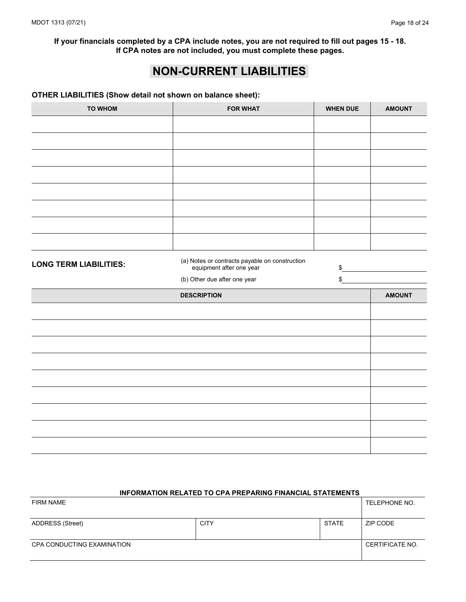### **NON-CURRENT LIABILITIES**

#### **OTHER LIABILITIES (Show detail not shown on balance sheet):**

| <b>TO WHOM</b>                | <b>FOR WHAT</b>                                                            | <b>WHEN DUE</b> | <b>AMOUNT</b> |
|-------------------------------|----------------------------------------------------------------------------|-----------------|---------------|
|                               |                                                                            |                 |               |
|                               |                                                                            |                 |               |
|                               |                                                                            |                 |               |
|                               |                                                                            |                 |               |
|                               |                                                                            |                 |               |
|                               |                                                                            |                 |               |
|                               |                                                                            |                 |               |
|                               |                                                                            |                 |               |
|                               |                                                                            |                 |               |
| <b>LONG TERM LIABILITIES:</b> | (a) Notes or contracts payable on construction<br>equipment after one year | \$              |               |
|                               | (b) Other due after one year                                               | \$              |               |
|                               |                                                                            |                 |               |
|                               | <b>DESCRIPTION</b>                                                         |                 | <b>AMOUNT</b> |
|                               |                                                                            |                 |               |
|                               |                                                                            |                 |               |
|                               |                                                                            |                 |               |
|                               |                                                                            |                 |               |
|                               |                                                                            |                 |               |
|                               |                                                                            |                 |               |
|                               |                                                                            |                 |               |
|                               |                                                                            |                 |               |
|                               |                                                                            |                 |               |

## **INFORMATION RELATED TO CPA PREPARING FINANCIAL STATEMENTS**  FIRM NAME TELEPHONE NO.

| ADDRESS (Street)           | <b>CITY</b> | <b>STATE</b> | ZIP CODE        |
|----------------------------|-------------|--------------|-----------------|
| CPA CONDUCTING EXAMINATION |             |              | CERTIFICATE NO. |
|                            |             |              |                 |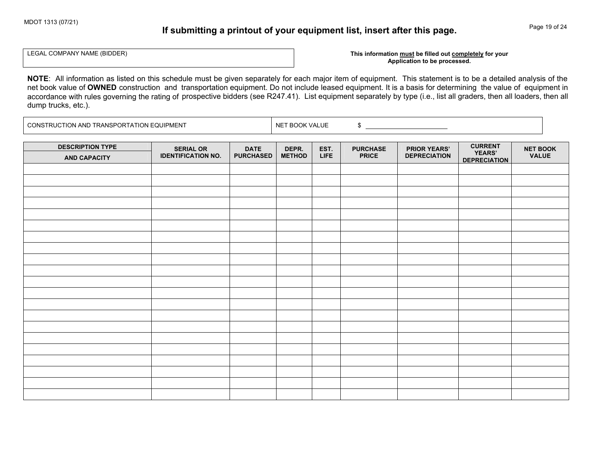### **If submitting a printout of your equipment list, insert after this page.**

Page 19 of 24

LEGAL COMPANY NAME (BIDDER)

#### This information must be filled out completely for your **Application to be processed.**

**NOTE**: All information as listed on this schedule must be given separately for each major item of equipment. This statement is to be a detailed analysis of the net book value of **OWNED** construction and transportation equipment. Do not include leased equipment. It is a basis for determining the value of equipment in<br>considerate with what accuming the action of prespective hidders accordance with rules governing the rating of prospective bidders (see R247.41). List equipment separately by type (i.e., list all graders, then all loaders, then all loaders, then all dump trucks, etc.).

CONSTRUCTION AND TRANSPORTATION EQUIPMENT  $\vert$  NET BOOK VALUE \$

| <b>DESCRIPTION TYPE</b><br><b>AND CAPACITY</b> | <b>SERIAL OR</b><br><b>IDENTIFICATION NO.</b> | <b>DATE</b><br><b>PURCHASED</b> | DEPR.<br><b>METHOD</b> | EST.<br><b>LIFE</b> | <b>PURCHASE</b><br><b>PRICE</b> | <b>PRIOR YEARS'</b><br><b>DEPRECIATION</b> | <b>CURRENT</b><br>YEARS'<br><b>DEPRECIATION</b> | <b>NET BOOK</b><br><b>VALUE</b> |
|------------------------------------------------|-----------------------------------------------|---------------------------------|------------------------|---------------------|---------------------------------|--------------------------------------------|-------------------------------------------------|---------------------------------|
|                                                |                                               |                                 |                        |                     |                                 |                                            |                                                 |                                 |
|                                                |                                               |                                 |                        |                     |                                 |                                            |                                                 |                                 |
|                                                |                                               |                                 |                        |                     |                                 |                                            |                                                 |                                 |
|                                                |                                               |                                 |                        |                     |                                 |                                            |                                                 |                                 |
|                                                |                                               |                                 |                        |                     |                                 |                                            |                                                 |                                 |
|                                                |                                               |                                 |                        |                     |                                 |                                            |                                                 |                                 |
|                                                |                                               |                                 |                        |                     |                                 |                                            |                                                 |                                 |
|                                                |                                               |                                 |                        |                     |                                 |                                            |                                                 |                                 |
|                                                |                                               |                                 |                        |                     |                                 |                                            |                                                 |                                 |
|                                                |                                               |                                 |                        |                     |                                 |                                            |                                                 |                                 |
|                                                |                                               |                                 |                        |                     |                                 |                                            |                                                 |                                 |
|                                                |                                               |                                 |                        |                     |                                 |                                            |                                                 |                                 |
|                                                |                                               |                                 |                        |                     |                                 |                                            |                                                 |                                 |
|                                                |                                               |                                 |                        |                     |                                 |                                            |                                                 |                                 |
|                                                |                                               |                                 |                        |                     |                                 |                                            |                                                 |                                 |
|                                                |                                               |                                 |                        |                     |                                 |                                            |                                                 |                                 |
|                                                |                                               |                                 |                        |                     |                                 |                                            |                                                 |                                 |
|                                                |                                               |                                 |                        |                     |                                 |                                            |                                                 |                                 |
|                                                |                                               |                                 |                        |                     |                                 |                                            |                                                 |                                 |
|                                                |                                               |                                 |                        |                     |                                 |                                            |                                                 |                                 |
|                                                |                                               |                                 |                        |                     |                                 |                                            |                                                 |                                 |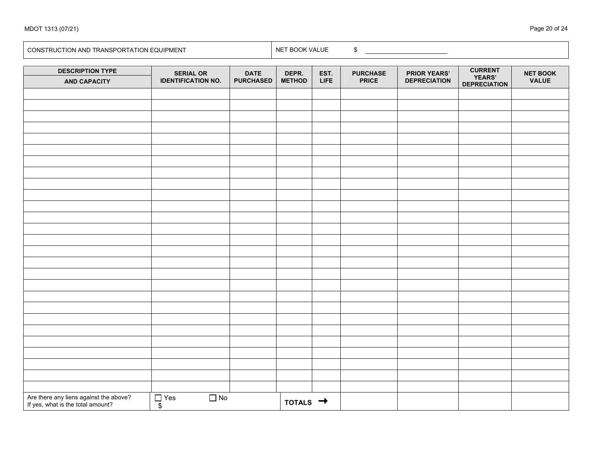| <b>DESCRIPTION TYPE</b>                                                     | <b>SERIAL OR</b>                     | <b>DATE</b>      | DEPR.                | EST.        | <b>PURCHASE</b> | <b>PRIOR YEARS'</b> | <b>CURRENT<br/>YEARS'</b> | <b>NET BOOK</b> |
|-----------------------------------------------------------------------------|--------------------------------------|------------------|----------------------|-------------|-----------------|---------------------|---------------------------|-----------------|
| <b>AND CAPACITY</b>                                                         | <b>IDENTIFICATION NO.</b>            | <b>PURCHASED</b> | <b>METHOD</b>        | <b>LIFE</b> | <b>PRICE</b>    | <b>DEPRECIATION</b> | <b>DEPRECIATION</b>       | <b>VALUE</b>    |
|                                                                             |                                      |                  |                      |             |                 |                     |                           |                 |
|                                                                             |                                      |                  |                      |             |                 |                     |                           |                 |
|                                                                             |                                      |                  |                      |             |                 |                     |                           |                 |
|                                                                             |                                      |                  |                      |             |                 |                     |                           |                 |
|                                                                             |                                      |                  |                      |             |                 |                     |                           |                 |
|                                                                             |                                      |                  |                      |             |                 |                     |                           |                 |
|                                                                             |                                      |                  |                      |             |                 |                     |                           |                 |
|                                                                             |                                      |                  |                      |             |                 |                     |                           |                 |
|                                                                             |                                      |                  |                      |             |                 |                     |                           |                 |
|                                                                             |                                      |                  |                      |             |                 |                     |                           |                 |
|                                                                             |                                      |                  |                      |             |                 |                     |                           |                 |
|                                                                             |                                      |                  |                      |             |                 |                     |                           |                 |
|                                                                             |                                      |                  |                      |             |                 |                     |                           |                 |
|                                                                             |                                      |                  |                      |             |                 |                     |                           |                 |
|                                                                             |                                      |                  |                      |             |                 |                     |                           |                 |
|                                                                             |                                      |                  |                      |             |                 |                     |                           |                 |
|                                                                             |                                      |                  |                      |             |                 |                     |                           |                 |
|                                                                             |                                      |                  |                      |             |                 |                     |                           |                 |
|                                                                             |                                      |                  |                      |             |                 |                     |                           |                 |
|                                                                             |                                      |                  |                      |             |                 |                     |                           |                 |
|                                                                             |                                      |                  |                      |             |                 |                     |                           |                 |
|                                                                             |                                      |                  |                      |             |                 |                     |                           |                 |
|                                                                             |                                      |                  |                      |             |                 |                     |                           |                 |
|                                                                             |                                      |                  |                      |             |                 |                     |                           |                 |
|                                                                             |                                      |                  |                      |             |                 |                     |                           |                 |
|                                                                             |                                      |                  |                      |             |                 |                     |                           |                 |
|                                                                             |                                      |                  |                      |             |                 |                     |                           |                 |
| Are there any liens against the above?<br>If yes, what is the total amount? | $\Box$ No<br>$\sqrt{\frac{1}{}}$ Yes |                  | TOTALS $\rightarrow$ |             |                 |                     |                           |                 |

CONSTRUCTION AND TRANSPORTATION EQUIPMENT NET BOOK VALUE \$

MDOT 1313 (07/21)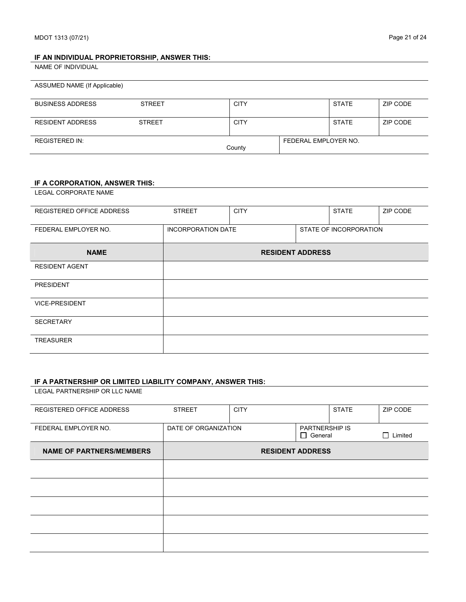#### **IF AN INDIVIDUAL PROPRIETORSHIP, ANSWER THIS:**

NAME OF INDIVIDUAL

| ASSUMED NAME (If Applicable) |               |             |                      |              |          |
|------------------------------|---------------|-------------|----------------------|--------------|----------|
| <b>BUSINESS ADDRESS</b>      | <b>STREET</b> | <b>CITY</b> |                      | <b>STATE</b> | ZIP CODE |
| <b>RESIDENT ADDRESS</b>      | <b>STREET</b> | <b>CITY</b> |                      | <b>STATE</b> | ZIP CODE |
| <b>REGISTERED IN:</b>        |               | County      | FEDERAL EMPLOYER NO. |              |          |

#### **IF A CORPORATION, ANSWER THIS:**

LEGAL CORPORATE NAME

| REGISTERED OFFICE ADDRESS | <b>STREET</b>             | <b>CITY</b> |                        | <b>STATE</b> | ZIP CODE |
|---------------------------|---------------------------|-------------|------------------------|--------------|----------|
| FEDERAL EMPLOYER NO.      | <b>INCORPORATION DATE</b> |             | STATE OF INCORPORATION |              |          |
| <b>NAME</b>               | <b>RESIDENT ADDRESS</b>   |             |                        |              |          |
| <b>RESIDENT AGENT</b>     |                           |             |                        |              |          |
| <b>PRESIDENT</b>          |                           |             |                        |              |          |
| <b>VICE-PRESIDENT</b>     |                           |             |                        |              |          |
| <b>SECRETARY</b>          |                           |             |                        |              |          |
| <b>TREASURER</b>          |                           |             |                        |              |          |

#### **IF A PARTNERSHIP OR LIMITED LIABILITY COMPANY, ANSWER THIS:**

LEGAL PARTNERSHIP OR LLC NAME

| REGISTERED OFFICE ADDRESS       | <b>STREET</b>           | <b>CITY</b> |                                         | <b>STATE</b> | ZIP CODE                  |
|---------------------------------|-------------------------|-------------|-----------------------------------------|--------------|---------------------------|
| FEDERAL EMPLOYER NO.            | DATE OF ORGANIZATION    |             | <b>PARTNERSHIP IS</b><br>$\Box$ General |              | Limited<br>$\mathbb{R}^n$ |
| <b>NAME OF PARTNERS/MEMBERS</b> | <b>RESIDENT ADDRESS</b> |             |                                         |              |                           |
|                                 |                         |             |                                         |              |                           |
|                                 |                         |             |                                         |              |                           |
|                                 |                         |             |                                         |              |                           |
|                                 |                         |             |                                         |              |                           |
|                                 |                         |             |                                         |              |                           |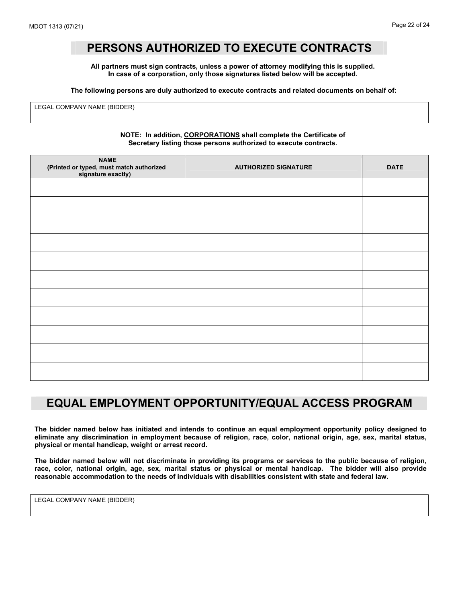### **PERSONS AUTHORIZED TO EXECUTE CONTRACTS**

**All partners must sign contracts, unless a power of attorney modifying this is supplied. In case of a corporation, only those signatures listed below will be accepted.** 

**The following persons are duly authorized to execute contracts and related documents on behalf of:** 

LEGAL COMPANY NAME (BIDDER)

#### **NOTE: In addition, CORPORATIONS shall complete the Certificate of Secretary listing those persons authorized to execute contracts.**

| <b>NAME</b><br>(Printed or typed, must match authorized<br>signature exactly) | <b>AUTHORIZED SIGNATURE</b> | <b>DATE</b> |
|-------------------------------------------------------------------------------|-----------------------------|-------------|
|                                                                               |                             |             |
|                                                                               |                             |             |
|                                                                               |                             |             |
|                                                                               |                             |             |
|                                                                               |                             |             |
|                                                                               |                             |             |
|                                                                               |                             |             |
|                                                                               |                             |             |
|                                                                               |                             |             |
|                                                                               |                             |             |
|                                                                               |                             |             |

### **EQUAL EMPLOYMENT OPPORTUNITY/EQUAL ACCESS PROGRAM**

**The bidder named below has initiated and intends to continue an equal employment opportunity policy designed to eliminate any discrimination in employment because of religion, race, color, national origin, age, sex, marital status, physical or mental handicap, weight or arrest record.** 

**The bidder named below will not discriminate in providing its programs or services to the public because of religion, race, color, national origin, age, sex, marital status or physical or mental handicap. The bidder will also provide reasonable accommodation to the needs of individuals with disabilities consistent with state and federal law.** 

LEGAL COMPANY NAME (BIDDER)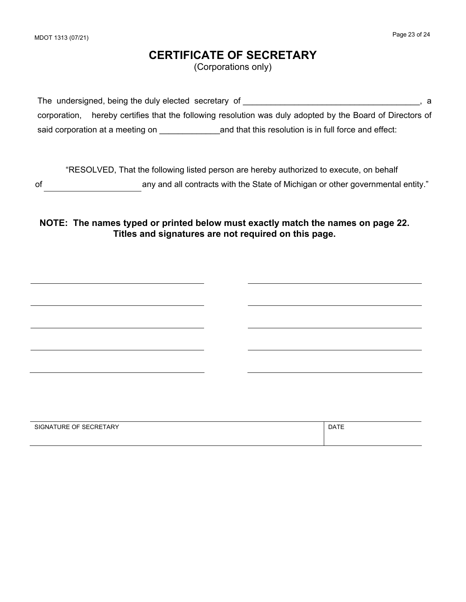### **CERTIFICATE OF SECRETARY**

(Corporations only)

The undersigned, being the duly elected secretary of  $\blacksquare$ corporation, hereby certifies that the following resolution was duly adopted by the Board of Directors of said corporation at a meeting on \_\_\_\_\_\_\_\_\_\_\_\_\_and that this resolution is in full force and effect:

"RESOLVED, That the following listed person are hereby authorized to execute, on behalf of any and all contracts with the State of Michigan or other governmental entity."

**NOTE: The names typed or printed below must exactly match the names on page 22. Titles and signatures are not required on this page.** 

| SIGNATURE OF SECRETARY | <b>DATE</b> |
|------------------------|-------------|
|                        |             |